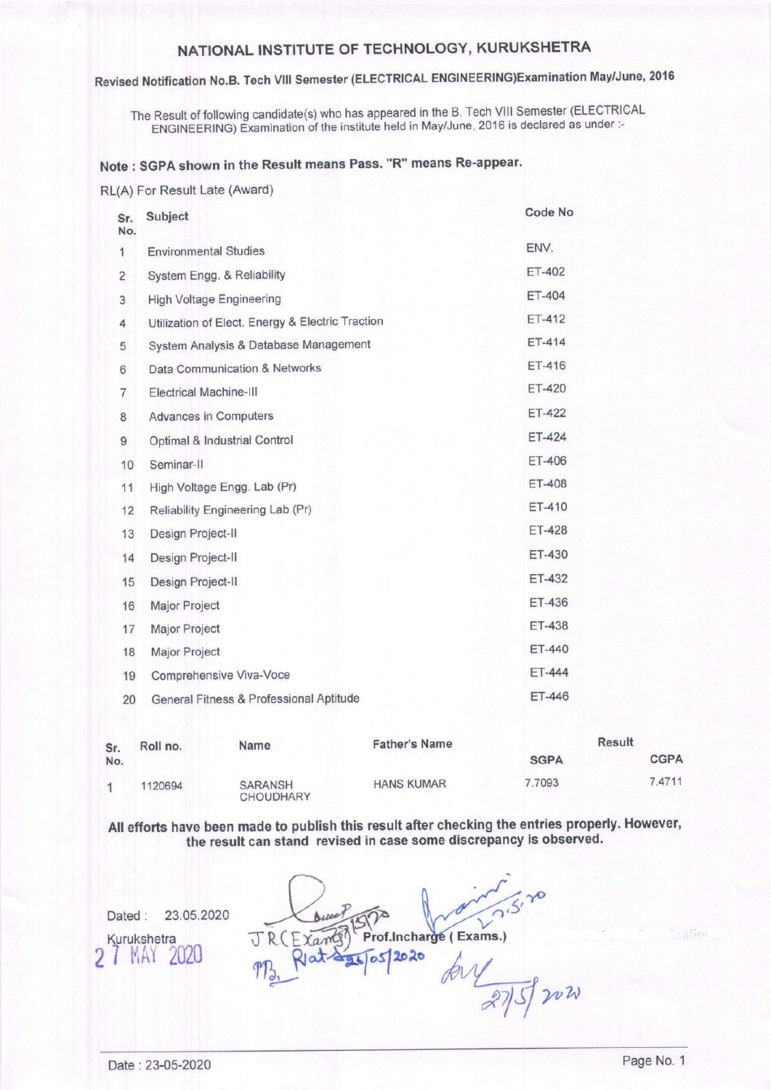### Revised Notification No.B. Tech Vilt Semester (ELECTRICAL ENGINEERTNG)Examination May/June, <sup>2016</sup>

The Result of following candidate(s) who has appeared in the B. Tech VIII Semester (ELECTRICAL ENGINEERING) Examination'of the institute held in May/June, 2016 is declared as under :-

### Note : SGPA shown in the Result means Pass. "R" means Re-appear.

RL(A) For Result Late (Award)

| Sr.<br>No.     | Subject                                          | Code No       |
|----------------|--------------------------------------------------|---------------|
| 1              | <b>Environmental Studies</b>                     | ENV.          |
| 2              | System Engg. & Reliability                       | ET-402        |
| 3              | <b>High Voltage Engineering</b>                  | ET-404        |
| 4              | Utilization of Elect. Energy & Electric Traction | $ET-412$      |
| 5              | System Analysis & Database Management            | ET-414        |
| 6              | Data Communication & Networks                    | ET-416        |
| $\overline{7}$ | <b>Electrical Machine-III</b>                    | ET-420        |
| 8              | <b>Advances in Computers</b>                     | ET-422        |
| 9              | Optimal & Industrial Control                     | $ET-424$      |
| 10             | Seminar-II                                       | ET-406        |
| 11             | High Voltage Engg. Lab (Pr)                      | <b>ET-408</b> |
| 12             | Reliability Engineering Lab (Pr)                 | ET-410        |
| 13             | Design Project-II                                | ET-428        |
| 14             | Design Project-II                                | ET-430        |
| 15             | Design Project-II                                | ET-432        |
| 16             | Major Project                                    | ET-436        |
| 17             | Major Project                                    | ET-438        |
| 18             | Major Project                                    | ET-440        |
| 19             | Comprehensive Viva-Voce                          | ET-444        |
| 20             | General Fitness & Professional Aptitude          | ET-446        |
|                |                                                  |               |

| Sr. | Roll no. | <b>Father's Name</b><br>Name       |                   | Result      |             |
|-----|----------|------------------------------------|-------------------|-------------|-------------|
| No. |          |                                    |                   | <b>SGPA</b> | <b>CGPA</b> |
| A.  | 1120694  | <b>SARANSH</b><br><b>CHOUDHARY</b> | <b>HANS KUMAR</b> | 7.7093      | 7.4711      |

All efforts have been made to publish this result after checking the entries properly. However, the result can stand revised in case some discrepancy is observed.

Dated : 23.05.2020 Kurukshetra **MAY** M. Rat 25/05/2020  $2752020$ 

nation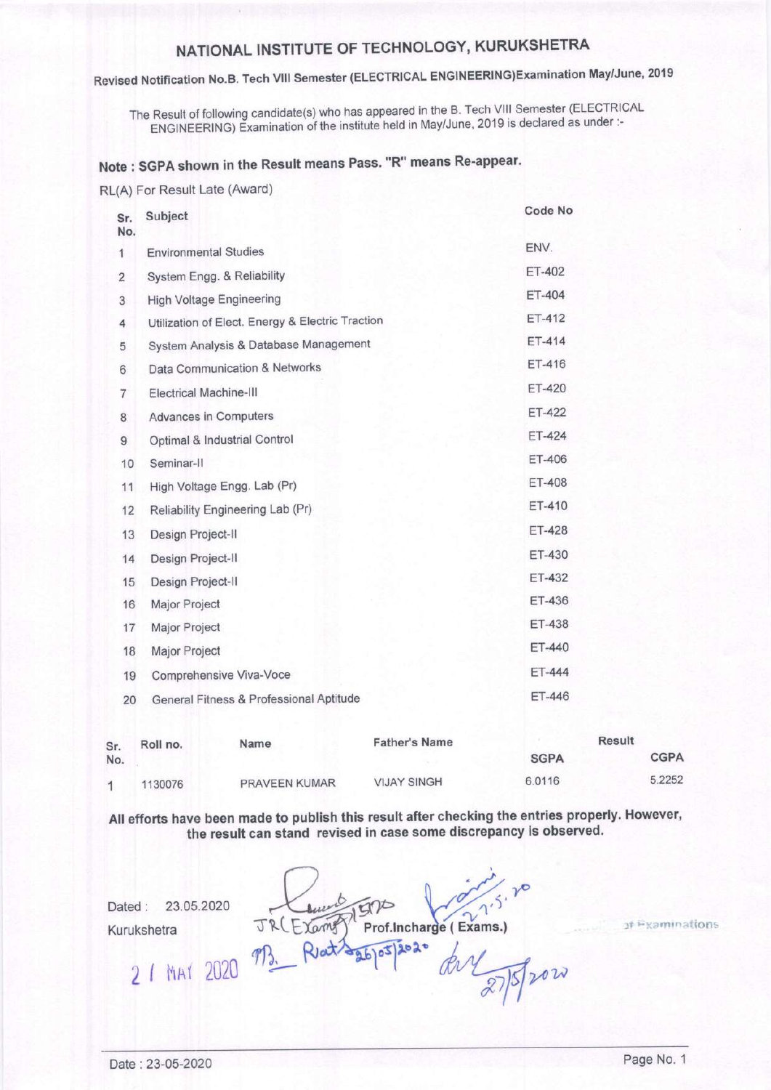## NATIoNAL INSTITUTE oF TEGHNoLoGY, KURUKSHETRA

## Revised Notification No.B. Tech Vilt Semester (ELECTRIGAL ENGINEERING)Examination May/June, <sup>2019</sup>

The Result of following candidate(s) who has appeared in the B. Tech VIII Semester (ELECTRICAL ENGINEERING) Examination of the institute held in May/June, 2019 is declared as under:-

## Note : SGPA shown in the Result means Pass. "R" means Re-appear.

RL(A) For Result Late (Award)

| Sr.<br>No.     | Subject                                          | Code No       |
|----------------|--------------------------------------------------|---------------|
| 1              | <b>Environmental Studies</b>                     | ENV.          |
| $\overline{2}$ | System Engg. & Reliability                       | ET-402        |
| 3              | <b>High Voltage Engineering</b>                  | ET-404        |
| 4              | Utilization of Elect. Energy & Electric Traction | ET-412        |
| 5              | System Analysis & Database Management            | ET-414        |
| 6              | Data Communication & Networks                    | ET-416        |
| $\overline{7}$ | <b>Electrical Machine-III</b>                    | <b>ET-420</b> |
| 8              | <b>Advances in Computers</b>                     | ET-422        |
| 9              | Optimal & Industrial Control                     | ET-424        |
| 10             | Seminar-II                                       | ET-406        |
| 11             | High Voltage Engg. Lab (Pr)                      | <b>ET-408</b> |
| 12             | Reliability Engineering Lab (Pr)                 | ET-410        |
| 13             | Design Project-II                                | <b>ET-428</b> |
| 14             | Design Project-II                                | ET-430        |
| 15             | Design Project-II                                | ET-432        |
| 16             | Major Project                                    | ET-436        |
| 17             | Major Project                                    | ET-438        |
| 18             | Major Project                                    | ET-440        |
| 19             | Comprehensive Viva-Voce                          | ET-444        |
| 20             | General Fitness & Professional Aptitude          | ET-446        |
|                |                                                  |               |

| Sr.<br>No. | <b>Name</b><br>Roll no. |                      | <b>Father's Name</b> | <b>Result</b> |             |
|------------|-------------------------|----------------------|----------------------|---------------|-------------|
|            |                         |                      |                      | <b>SGPA</b>   | <b>CGPA</b> |
|            | 1130076                 | <b>PRAVEEN KUMAR</b> | <b>VIJAY SINGH</b>   | 6.0116        | 5.2252      |

AII efforts have been made to publish this resutt after checking the entries properly. However, the result can stand revised in case some discrepancy is observed.

Dated : 23.05.2020

Kurukshetra

Prof.Incharge (Exams.) ang  $9020$  $\mathcal{P}B$ . R

of Examinations

2 / MAY 2020

Trow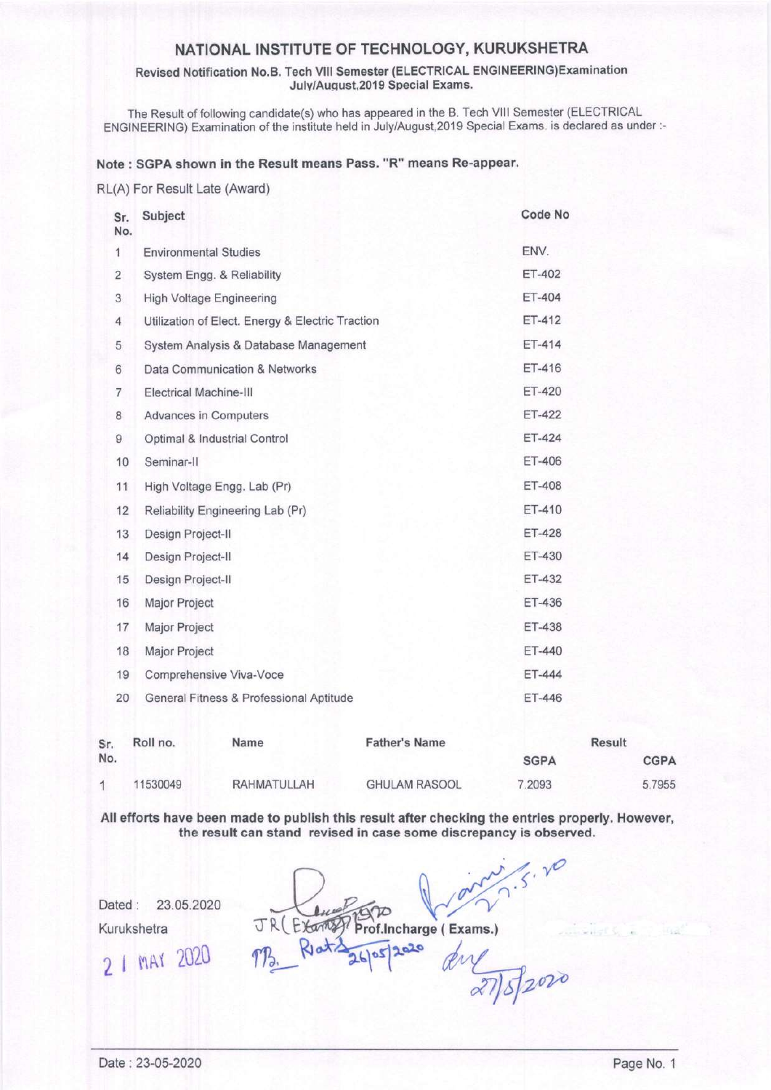Revised Notification No.B. Tech Vlll Semester (ELECTRICAL ENGINEERING)Examination July/August, 2019 Special Exams.

The Result of following candidate(s) who has appeared in the B. Tech Vlll Semester (ELECTRICAL ENGINEERING) Examination of the institute held in July/August,2019 Special Exams. is declared as under :-

#### Note : SGPA shown in the Resutt means Pass. "R" means Re-appear.

RL(A) For Result Late (Award)

| Sr.<br>No.     | Subject                                          | Code No       |
|----------------|--------------------------------------------------|---------------|
| 1              | <b>Environmental Studies</b>                     | ENV.          |
| $\overline{2}$ | System Engg. & Reliability                       | ET-402        |
| 3              | <b>High Voltage Engineering</b>                  | ET-404        |
| 4              | Utilization of Elect. Energy & Electric Traction | ET-412        |
| 5              | System Analysis & Database Management            | ET-414        |
| 6              | Data Communication & Networks                    | ET-416        |
| $\overline{7}$ | Electrical Machine-III                           | <b>ET-420</b> |
| 8              | <b>Advances in Computers</b>                     | ET-422        |
| 9              | Optimal & Industrial Control                     | ET-424        |
| 10             | Seminar-II                                       | ET-406        |
| 11             | High Voltage Engg. Lab (Pr)                      | ET-408        |
| 12             | Reliability Engineering Lab (Pr)                 | ET-410        |
| 13             | Design Project-II                                | <b>ET-428</b> |
| 14             | Design Project-II                                | ET-430        |
| 15             | Design Project-II                                | <b>ET-432</b> |
| 16             | Major Project                                    | ET-436        |
| 17             | Major Project                                    | ET-438        |
| 18             | Major Project                                    | ET-440        |
| 19             | Comprehensive Viva-Voce                          | ET-444        |
| 20             | General Fitness & Professional Aptitude          | ET-446        |
|                |                                                  |               |

| Sr. | Roll no. | Name               | <b>Father's Name</b> |             | Result      |
|-----|----------|--------------------|----------------------|-------------|-------------|
| No. |          |                    |                      | <b>SGPA</b> | <b>CGPA</b> |
|     | 11530049 | <b>RAHMATULLAH</b> | <b>GHULAM RASOOL</b> | 7.2093      | 5.7955      |

All efforts have been made to publish this result after checking the entries properly. However, the result can stand revised in case some discrepancy is observed.

 $3.70$ Dated : 23.05.2020 Kurukshetra  $\text{TR}(\text{Exm2})$  Prof. Incharge (Exams.)  $\eta_{\beta}$  Ret $\frac{1}{26}$  ps  $2^{020}$  $2$  I mat  $2020$  $52020$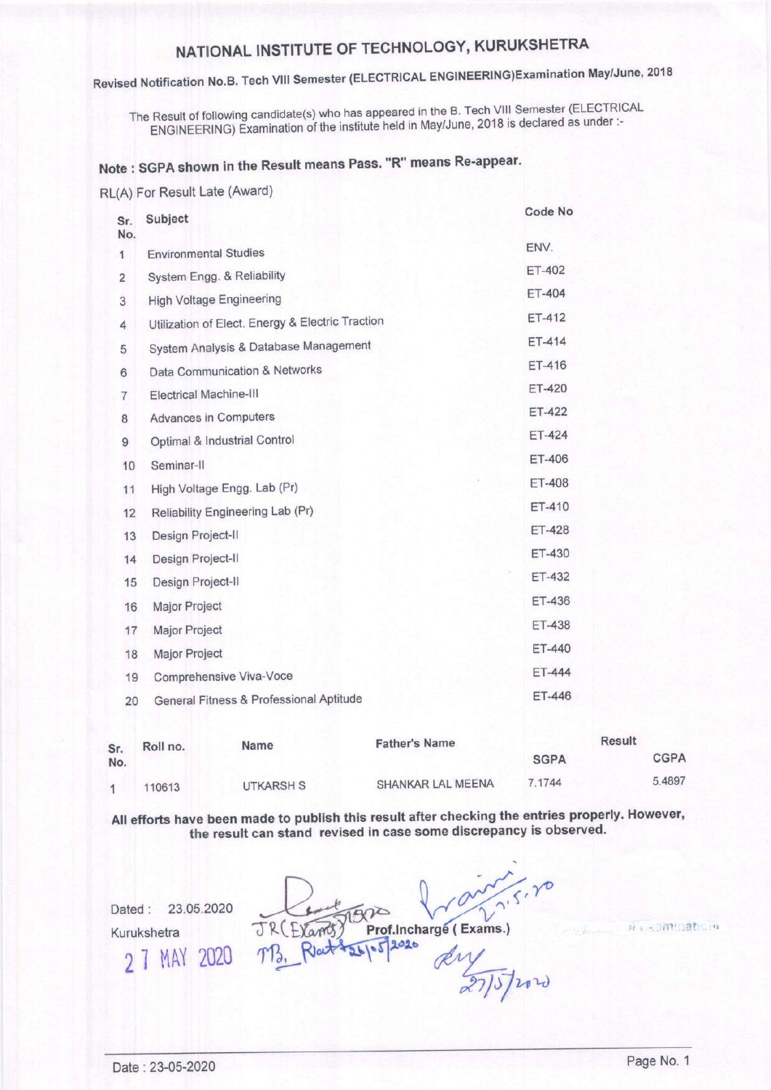# Revised Notification No.B. Tech VIII Semester (ELECTRICAL ENGINEERING)Examination May/June, 2018

The Result of following candidate(s) who has appeared in the B. Tech VIII Semester (ELECTRICAL ENGINEERING) Examination of the institute held in May/June, 2018 is declared as under :-

## Note: SGPA shown in the Result means Pass. "R" means Re-appear.

RL(A) For Result Late (Award)

| Sr.<br>No.              | Subject                                          | Code No       |
|-------------------------|--------------------------------------------------|---------------|
| 1                       | <b>Environmental Studies</b>                     | ENV.          |
| $\overline{\mathbf{c}}$ | System Engg. & Reliability                       | ET-402        |
| 3                       | <b>High Voltage Engineering</b>                  | ET-404        |
| 4                       | Utilization of Elect. Energy & Electric Traction | ET-412        |
| 5                       | System Analysis & Database Management            | ET-414        |
| 6                       | Data Communication & Networks                    | ET-416        |
| 7                       | Electrical Machine-III                           | ET-420        |
| 8                       | <b>Advances in Computers</b>                     | <b>ET-422</b> |
| 9                       | Optimal & Industrial Control                     | ET-424        |
| 10                      | Seminar-II                                       | ET-406        |
| 11                      | High Voltage Engg. Lab (Pr)                      | ET-408        |
| 12                      | Reliability Engineering Lab (Pr)                 | ET-410        |
| 13                      | Design Project-II                                | <b>ET-428</b> |
| 14                      | Design Project-II                                | ET-430        |
| 15                      | Design Project-II                                | ET-432        |
| 16                      | Major Project                                    | ET-436        |
| 17                      | Major Project                                    | ET-438        |
| 18                      | Major Project                                    | ET-440        |
| 19                      | Comprehensive Viva-Voce                          | ET-444        |
| 20                      | General Fitness & Professional Aptitude          | ET-446        |
|                         |                                                  |               |

| Sr.<br>No. | Name<br>Roll no. |           | <b>Father's Name</b> | Result      |             |
|------------|------------------|-----------|----------------------|-------------|-------------|
|            |                  |           |                      | <b>SGPA</b> | <b>CGPA</b> |
|            | 110613           | UTKARSH S | SHANKAR LAL MEENA    | 7 1744      | 5.4897      |

All efforts have been made to publish this result after checking the entries properly. However, the result can stand revised in case some discrepancy is observed.

Dated: 23.05.2020 Kurukshetra 2 7 MAY 2020

Prof.Incharge (Exams.) F. Yamoo  $2020$ 

15/2020

William nation

Date: 23-05-2020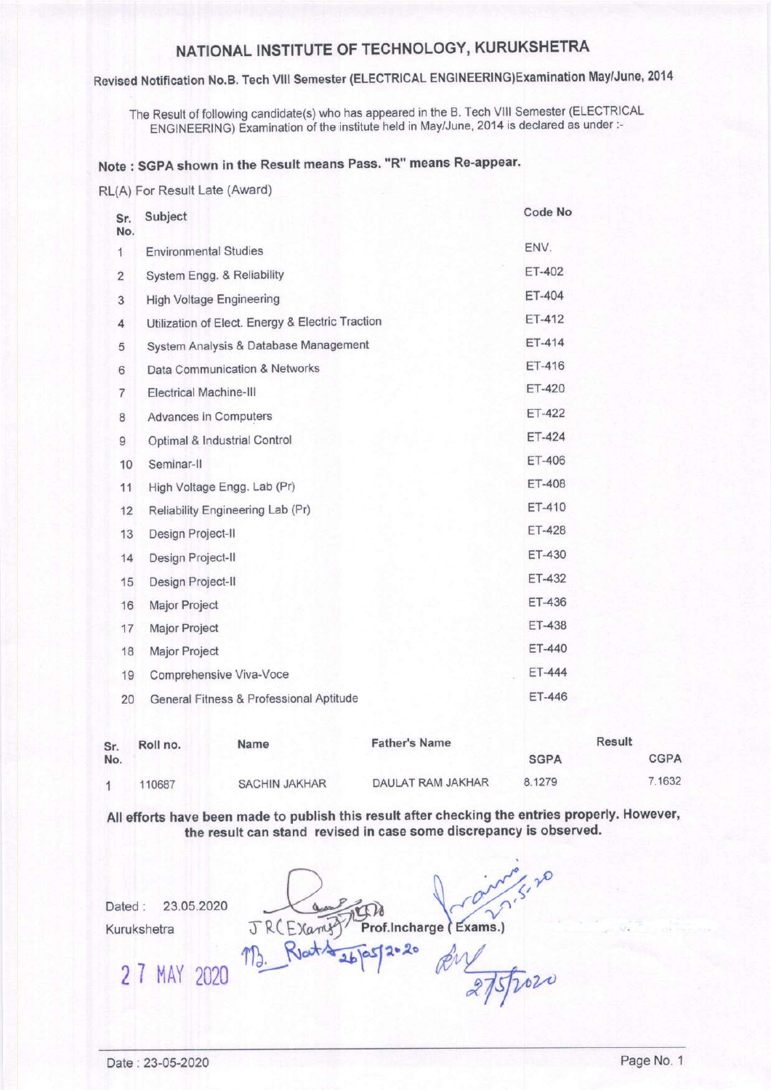### Revised Notification No.B. Tech Vlll Semester (ELECTRICAL ENGINEERING)Examination May/June, <sup>2014</sup>

The Result of following candidate(s) who has appeared in the B. Tech Vlll Semester (ELECTRICAL ENGINEERING) Examination of the institute held in May/June, 2014 is declared as under :-

### Note : SGPA shown in the Result means Pass. "R" means Re-appear.

RL(A) For Result Late (Award)

| Sr.<br>No.              | Subject                                          | Code No       |
|-------------------------|--------------------------------------------------|---------------|
| $\mathbf{1}$            | <b>Environmental Studies</b>                     | ENV.          |
| $\overline{\mathbf{c}}$ | System Engg. & Reliability                       | ET-402        |
| 3                       | <b>High Voltage Engineering</b>                  | ET-404        |
| 4                       | Utilization of Elect. Energy & Electric Traction | ET-412        |
| 5                       | System Analysis & Database Management            | ET-414        |
| 6                       | Data Communication & Networks                    | ET-416        |
| 7                       | <b>Electrical Machine-III</b>                    | <b>ET-420</b> |
| 8                       | Advances in Computers                            | <b>ET-422</b> |
| 9                       | Optimal & Industrial Control                     | ET-424        |
| 10                      | Seminar-II                                       | ET-406        |
| 11                      | High Voltage Engg. Lab (Pr)                      | <b>ET-408</b> |
| 12                      | Reliability Engineering Lab (Pr)                 | ET-410        |
| 13                      | Design Project-II                                | ET-428        |
| 14                      | Design Project-II                                | ET-430        |
| 15                      | Design Project-II                                | ET-432        |
| 16                      | Major Project                                    | ET-436        |
| 17                      | Major Project                                    | <b>ET-438</b> |
| 18                      | Major Project                                    | ET-440        |
| 19                      | Comprehensive Viva-Voce                          | ET-444        |
| 20                      | General Fitness & Professional Aptitude          | ET-446        |

| Sr.<br>No. | Roll no. | Name                 | <b>Father's Name</b> |             | <b>Result</b> |
|------------|----------|----------------------|----------------------|-------------|---------------|
|            |          |                      |                      | <b>SGPA</b> | <b>CGPA</b>   |
|            | 110687   | <b>SACHIN JAKHAR</b> | DAULAT RAM JAKHAR    | 8.1279      | 7.1632        |

All efforts have been made to publish this result after checking the entries properly. However, the result can stand revised in case some discrepancy is observed.

Dated: 23.05.2020

Kurukshetra

JRCEXamp Prof.Incharge (Exams.)

RW 275/2020

 $M_{\odot}$  Klat $A_{2b}$ as/2°<sup>20</sup>

2 7 MAY 2020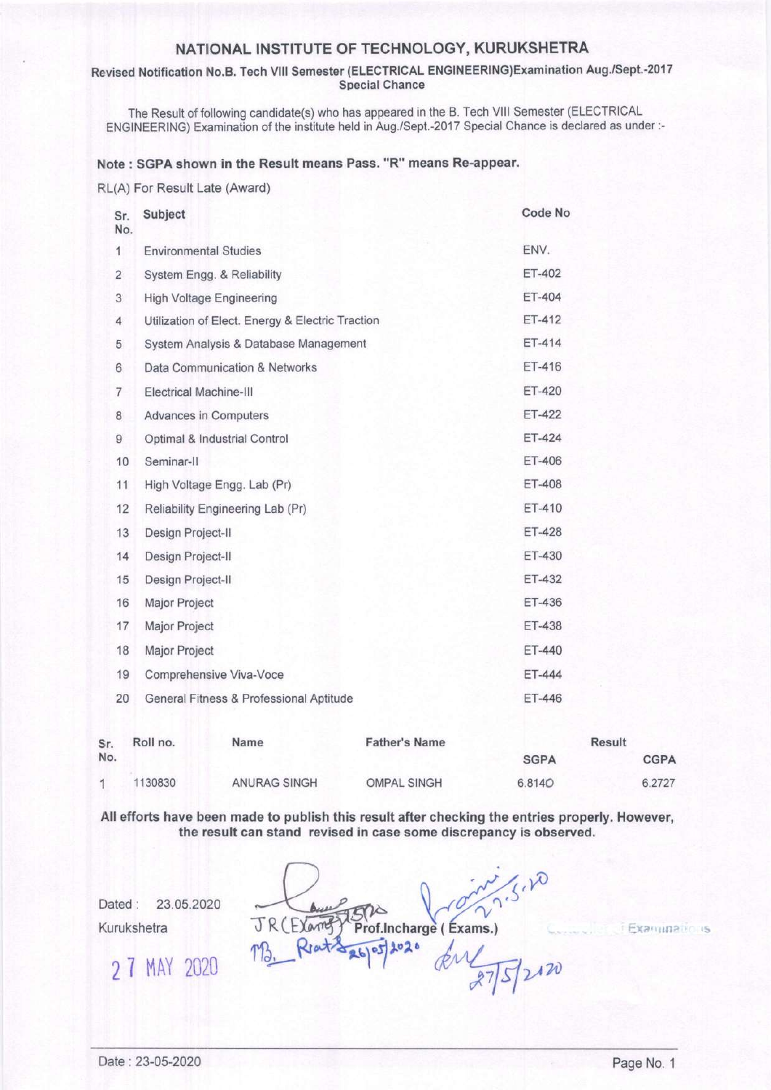#### Revised Notification No.B. Tech VIII Semester (ELECTRICAL ENGINEERING)Examination Aug./Sept.-2017 Special Chance

The Result of following candidate(s) who has appeared in the B. Tech Vlll Semester (ELECTRICAL ENGINEERING) Examination of the institute held in Aug./Sept.-2017 Special Chance is declared as under :-

#### Note : SGPA shown in the Result means Pass. "R" means Re-appear.

RIL(A) For Result Late (Award)

| Sr.<br>No.     | Subject                                          | Code No       |
|----------------|--------------------------------------------------|---------------|
| $\mathbf{1}$   | <b>Environmental Studies</b>                     | ENV.          |
| $\overline{2}$ | System Engg. & Reliability                       | ET-402        |
| 3              | <b>High Voltage Engineering</b>                  | ET-404        |
| 4              | Utilization of Elect. Energy & Electric Traction | ET-412        |
| 5              | System Analysis & Database Management            | ET-414        |
| 6              | Data Communication & Networks                    | ET-416        |
| $\overline{7}$ | Electrical Machine-III                           | ET-420        |
| 8              | <b>Advances in Computers</b>                     | ET-422        |
| 9              | Optimal & Industrial Control                     | $ET-424$      |
| 10             | Seminar-II                                       | ET-406        |
| 11             | High Voltage Engg. Lab (Pr)                      | <b>ET-408</b> |
| 12             | Reliability Engineering Lab (Pr)                 | ET-410        |
| 13             | Design Project-II                                | ET-428        |
| 14             | Design Project-II                                | ET-430        |
| 15             | Design Project-II                                | ET-432        |
| 16             | Major Project                                    | ET-436        |
| 17             | Major Project                                    | ET-438        |
| 18             | Major Project                                    | ET-440        |
| 19             | Comprehensive Viva-Voce                          | ET-444        |
| 20             | General Fitness & Professional Aptitude          | ET-446        |

| Sr. | Roll no. | Name         | <b>Father's Name</b> |             | Result      |
|-----|----------|--------------|----------------------|-------------|-------------|
| No. |          |              |                      | <b>SGPA</b> | <b>CGPA</b> |
|     | 1130830  | ANURAG SINGH | <b>OMPAL SINGH</b>   | 6.8140      | 6.2727      |

All efforts have been made to publish this result after checking the entries properly. However, the result can stand revised in case some discrepancy is observed.

Dated : 23.05.2020 Kurukshetra

 $\frac{1}{2}$ Prof.Incharge (Exams.)  $12120$ 

Examinations

2 7 MAY 2020